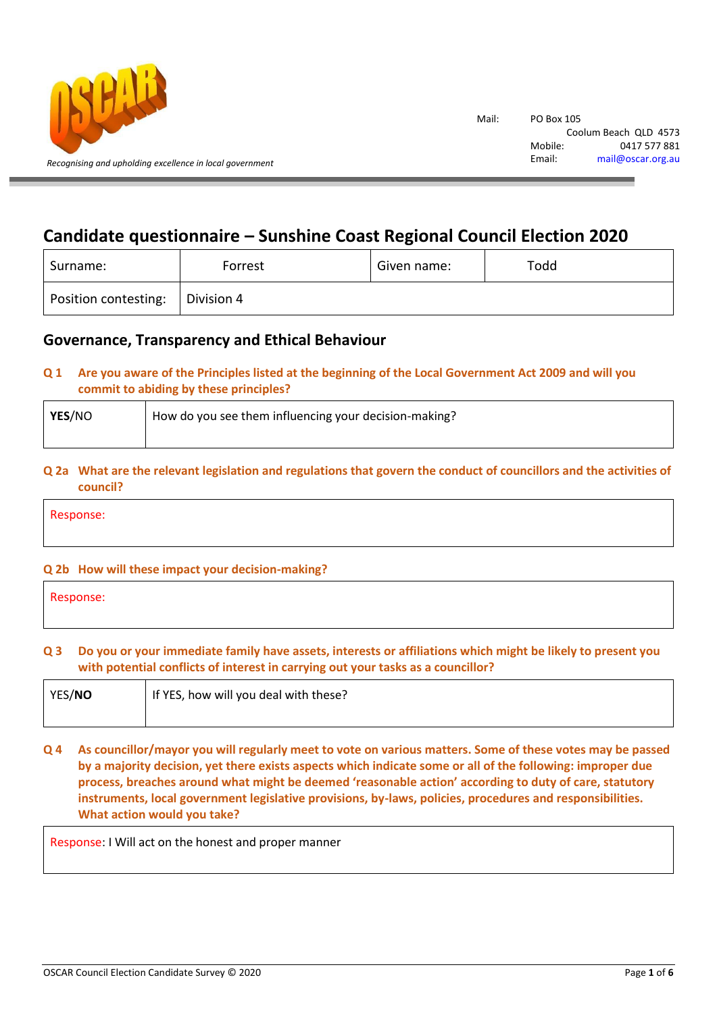

# **Candidate questionnaire – Sunshine Coast Regional Council Election 2020**

| Surname:             | Forrest    | Given name: | Todd |
|----------------------|------------|-------------|------|
| Position contesting: | Division 4 |             |      |

## **Governance, Transparency and Ethical Behaviour**

## **Q 1 Are you aware of the Principles listed at the beginning of the Local Government Act 2009 and will you commit to abiding by these principles?**

| YES/NO | How do you see them influencing your decision-making? |
|--------|-------------------------------------------------------|
|        |                                                       |

## **Q 2a What are the relevant legislation and regulations that govern the conduct of councillors and the activities of council?**

Response:

## **Q 2b How will these impact your decision-making?**

| Response: |  |  |  |
|-----------|--|--|--|
|           |  |  |  |

## **Q 3 Do you or your immediate family have assets, interests or affiliations which might be likely to present you with potential conflicts of interest in carrying out your tasks as a councillor?**

| YES/NO | If YES, how will you deal with these? |
|--------|---------------------------------------|
|        |                                       |

## **Q 4 As councillor/mayor you will regularly meet to vote on various matters. Some of these votes may be passed by a majority decision, yet there exists aspects which indicate some or all of the following: improper due process, breaches around what might be deemed 'reasonable action' according to duty of care, statutory instruments, local government legislative provisions, by-laws, policies, procedures and responsibilities. What action would you take?**

Response: I Will act on the honest and proper manner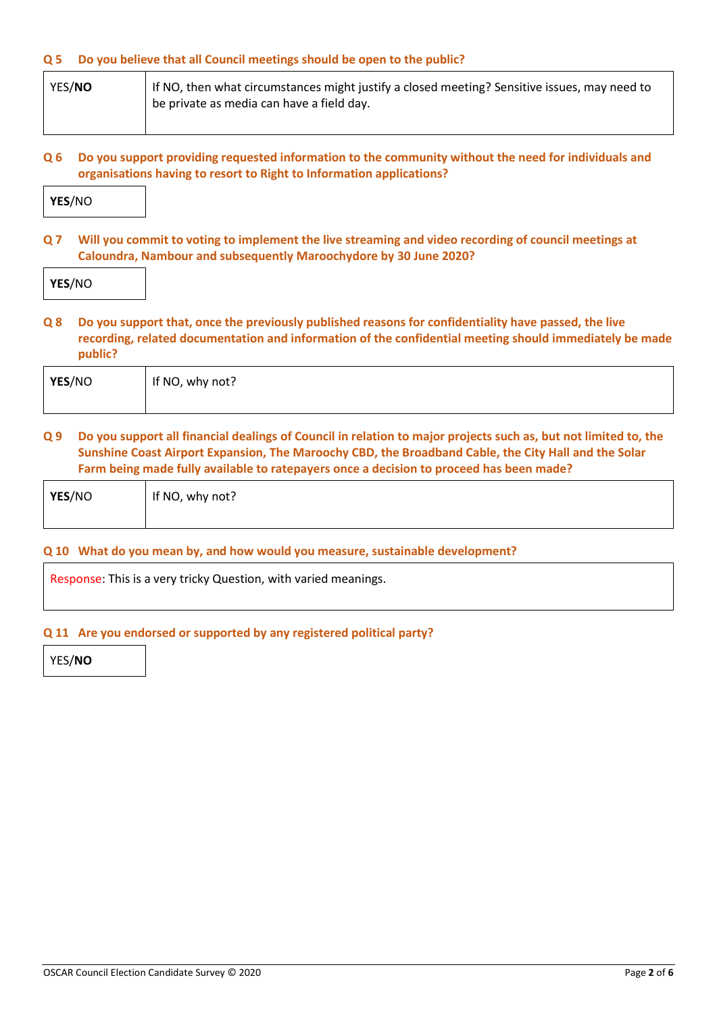#### **Q 5 Do you believe that all Council meetings should be open to the public?**

- YES/**NO** If NO, then what circumstances might justify a closed meeting? Sensitive issues, may need to be private as media can have a field day.
- **Q 6 Do you support providing requested information to the community without the need for individuals and organisations having to resort to Right to Information applications?**



**Q 7 Will you commit to voting to implement the live streaming and video recording of council meetings at Caloundra, Nambour and subsequently Maroochydore by 30 June 2020?**

**Q 8 Do you support that, once the previously published reasons for confidentiality have passed, the live recording, related documentation and information of the confidential meeting should immediately be made public?**

| YES/NO | If NO, why not? |
|--------|-----------------|
|        |                 |

#### **Q 9 Do you support all financial dealings of Council in relation to major projects such as, but not limited to, the Sunshine Coast Airport Expansion, The Maroochy CBD, the Broadband Cable, the City Hall and the Solar Farm being made fully available to ratepayers once a decision to proceed has been made?**

| YES/NO | If NO, why not? |
|--------|-----------------|
|        |                 |

#### **Q 10 What do you mean by, and how would you measure, sustainable development?**

Response: This is a very tricky Question, with varied meanings.

#### **Q 11 Are you endorsed or supported by any registered political party?**

YES/**NO**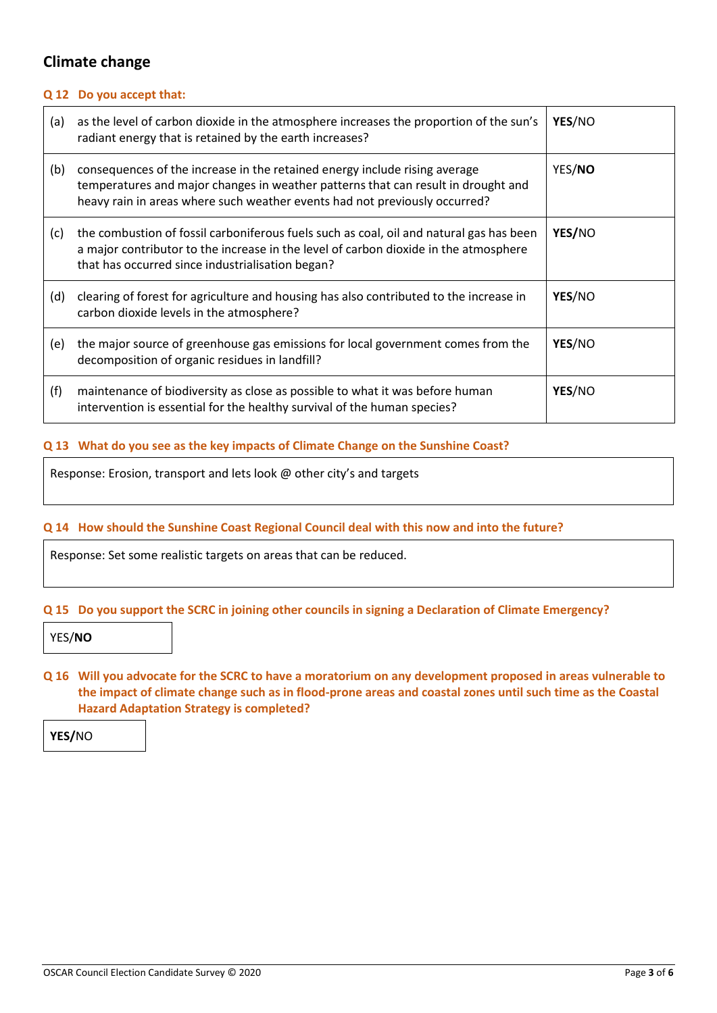## **Climate change**

#### **Q 12 Do you accept that:**

| (a) | as the level of carbon dioxide in the atmosphere increases the proportion of the sun's<br>radiant energy that is retained by the earth increases?                                                                                             | YES/NO |
|-----|-----------------------------------------------------------------------------------------------------------------------------------------------------------------------------------------------------------------------------------------------|--------|
| (b) | consequences of the increase in the retained energy include rising average<br>temperatures and major changes in weather patterns that can result in drought and<br>heavy rain in areas where such weather events had not previously occurred? | YES/NO |
| (c) | the combustion of fossil carboniferous fuels such as coal, oil and natural gas has been<br>a major contributor to the increase in the level of carbon dioxide in the atmosphere<br>that has occurred since industrialisation began?           | YES/NO |
| (d) | clearing of forest for agriculture and housing has also contributed to the increase in<br>carbon dioxide levels in the atmosphere?                                                                                                            | YES/NO |
| (e) | the major source of greenhouse gas emissions for local government comes from the<br>decomposition of organic residues in landfill?                                                                                                            | YES/NO |
| (f) | maintenance of biodiversity as close as possible to what it was before human<br>intervention is essential for the healthy survival of the human species?                                                                                      | YES/NO |

## **Q 13 What do you see as the key impacts of Climate Change on the Sunshine Coast?**

Response: Erosion, transport and lets look @ other city's and targets

#### **Q 14 How should the Sunshine Coast Regional Council deal with this now and into the future?**

Response: Set some realistic targets on areas that can be reduced.

#### **Q 15 Do you support the SCRC in joining other councils in signing a Declaration of Climate Emergency?**

YES/**NO**

**Q 16 Will you advocate for the SCRC to have a moratorium on any development proposed in areas vulnerable to the impact of climate change such as in flood-prone areas and coastal zones until such time as the Coastal Hazard Adaptation Strategy is completed?**

**YES/**NO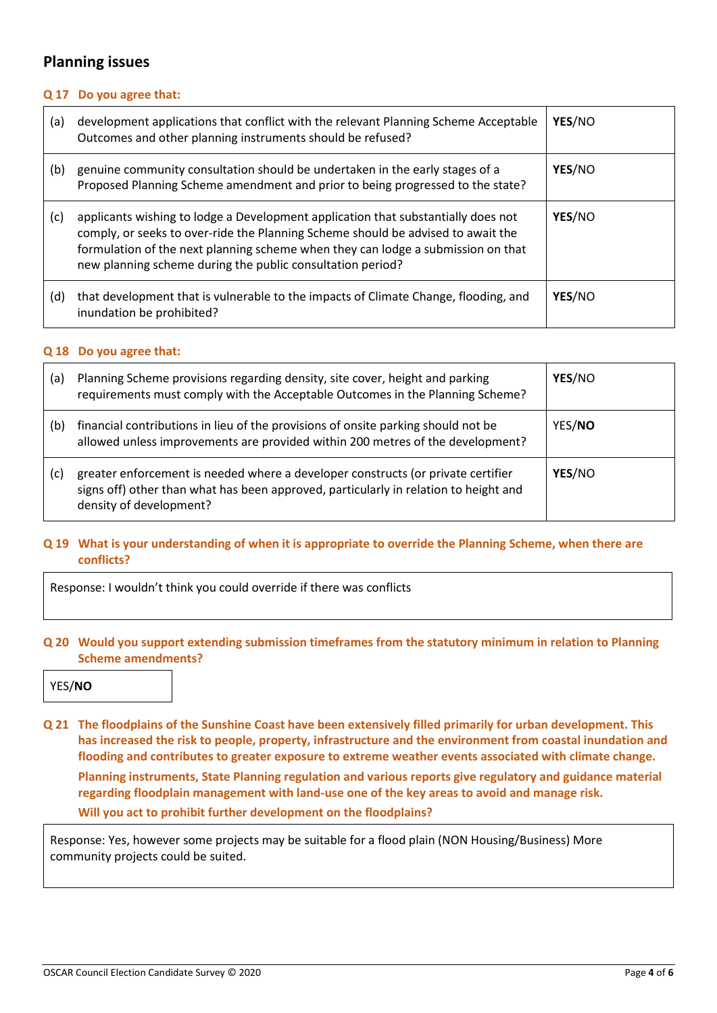## **Planning issues**

## **Q 17 Do you agree that:**

| (a) | development applications that conflict with the relevant Planning Scheme Acceptable<br>Outcomes and other planning instruments should be refused?                                                                                                                                                                       | YES/NO |
|-----|-------------------------------------------------------------------------------------------------------------------------------------------------------------------------------------------------------------------------------------------------------------------------------------------------------------------------|--------|
| (b) | genuine community consultation should be undertaken in the early stages of a<br>Proposed Planning Scheme amendment and prior to being progressed to the state?                                                                                                                                                          | YES/NO |
| (c) | applicants wishing to lodge a Development application that substantially does not<br>comply, or seeks to over-ride the Planning Scheme should be advised to await the<br>formulation of the next planning scheme when they can lodge a submission on that<br>new planning scheme during the public consultation period? | YES/NO |
| (d) | that development that is vulnerable to the impacts of Climate Change, flooding, and<br>inundation be prohibited?                                                                                                                                                                                                        | YES/NO |

#### **Q 18 Do you agree that:**

| (a) | Planning Scheme provisions regarding density, site cover, height and parking<br>requirements must comply with the Acceptable Outcomes in the Planning Scheme?                                       | YES/NO |
|-----|-----------------------------------------------------------------------------------------------------------------------------------------------------------------------------------------------------|--------|
| (b) | financial contributions in lieu of the provisions of onsite parking should not be<br>allowed unless improvements are provided within 200 metres of the development?                                 | YES/NO |
| (c) | greater enforcement is needed where a developer constructs (or private certifier<br>signs off) other than what has been approved, particularly in relation to height and<br>density of development? | YES/NO |

### **Q 19 What is your understanding of when it is appropriate to override the Planning Scheme, when there are conflicts?**

Response: I wouldn't think you could override if there was conflicts

### **Q 20 Would you support extending submission timeframes from the statutory minimum in relation to Planning Scheme amendments?**

YES/**NO**

**Q 21 The floodplains of the Sunshine Coast have been extensively filled primarily for urban development. This has increased the risk to people, property, infrastructure and the environment from coastal inundation and flooding and contributes to greater exposure to extreme weather events associated with climate change. Planning instruments, State Planning regulation and various reports give regulatory and guidance material regarding floodplain management with land-use one of the key areas to avoid and manage risk. Will you act to prohibit further development on the floodplains?**

Response: Yes, however some projects may be suitable for a flood plain (NON Housing/Business) More community projects could be suited.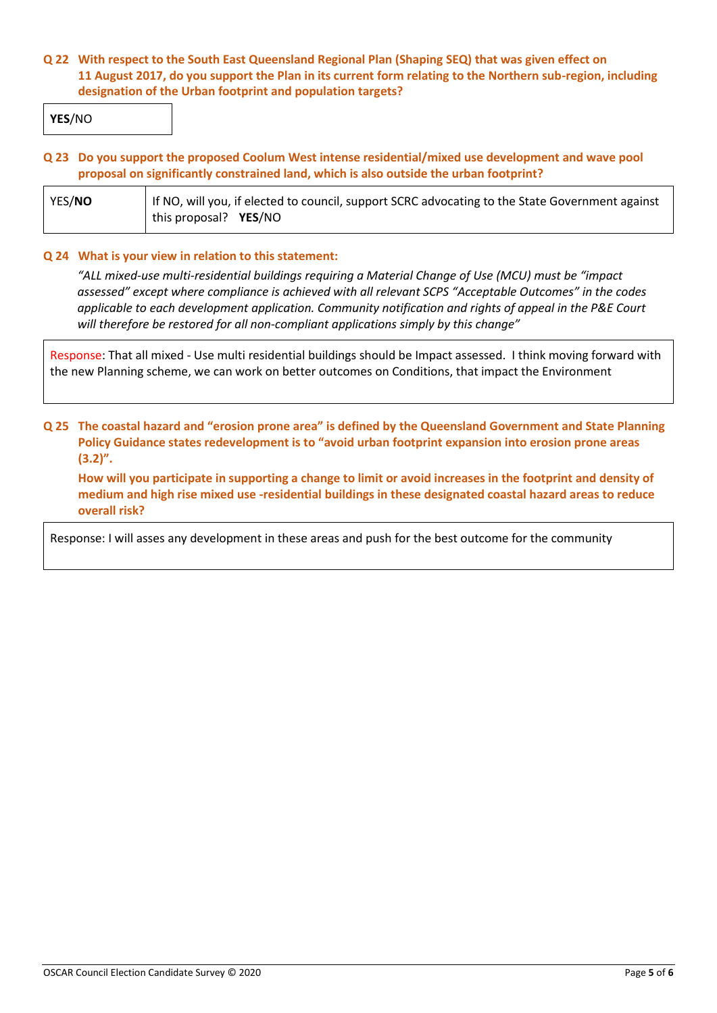## **Q 22 With respect to the South East Queensland Regional Plan (Shaping SEQ) that was given effect on 11 August 2017, do you support the Plan in its current form relating to the Northern sub-region, including designation of the Urban footprint and population targets?**

**YES**/NO

#### **Q 23 Do you support the proposed Coolum West intense residential/mixed use development and wave pool proposal on significantly constrained land, which is also outside the urban footprint?**

| YES/NO | If NO, will you, if elected to council, support SCRC advocating to the State Government against |  |  |
|--------|-------------------------------------------------------------------------------------------------|--|--|
|        | this proposal? YES/NO                                                                           |  |  |

#### **Q 24 What is your view in relation to this statement:**

*"ALL mixed-use multi-residential buildings requiring a Material Change of Use (MCU) must be "impact assessed" except where compliance is achieved with all relevant SCPS "Acceptable Outcomes" in the codes applicable to each development application. Community notification and rights of appeal in the P&E Court will therefore be restored for all non-compliant applications simply by this change"*

Response: That all mixed - Use multi residential buildings should be Impact assessed. I think moving forward with the new Planning scheme, we can work on better outcomes on Conditions, that impact the Environment

## **Q 25 The coastal hazard and "erosion prone area" is defined by the Queensland Government and State Planning Policy Guidance states redevelopment is to "avoid urban footprint expansion into erosion prone areas (3.2)".**

**How will you participate in supporting a change to limit or avoid increases in the footprint and density of medium and high rise mixed use -residential buildings in these designated coastal hazard areas to reduce overall risk?**

Response: I will asses any development in these areas and push for the best outcome for the community